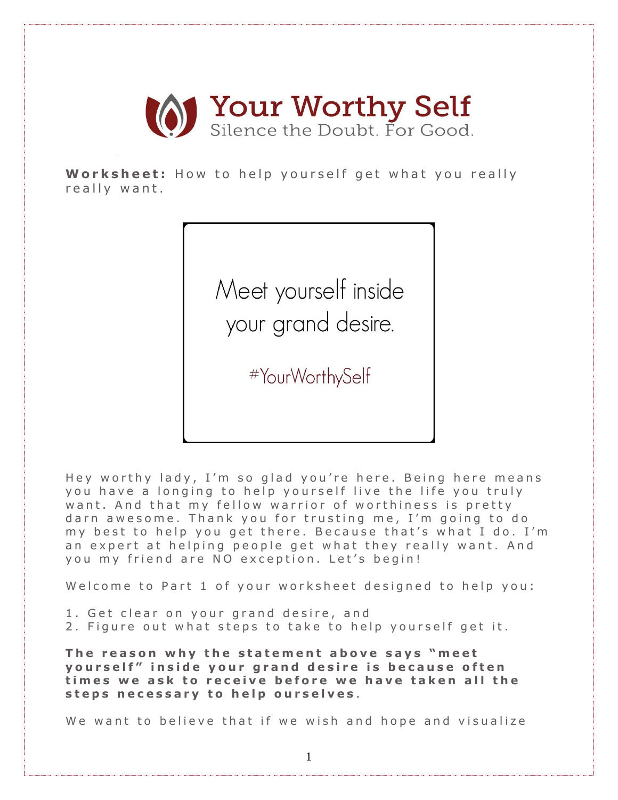

**Worksheet:** How to help yourself get what you really really want.

> Meet yourself inside your grand desire.

> > #YourWorthySelf

Hey worthy lady, I'm so glad you're here. Being here means you have a longing to help yourself live the life you truly want. And that my fellow warrior of worthiness is pretty darn awesome. Thank you for trusting me, I'm going to do my best to help you get there. Because that's what I do. I'm an expert at helping people get what they really want. And you my friend are NO exception. Let's begin!

Welcome to Part 1 of your worksheet designed to help you:

- 1. Get clear on your grand desire, and
- 2. Figure out what steps to take to help yourself get it.

**The reason why the statement above says "meet y o u r s e l f " i n s i d e y o u r g r a n d d e s i r e i s b e c a u s e o f t e n t i m e s w e a s k t o r e c e i v e b e f o r e w e h a v e t a k e n all t h e s t e p s n e c e s s a r y t o h e l p o u r s e l v e s** .

We want to believe that if we wish and hope and visualize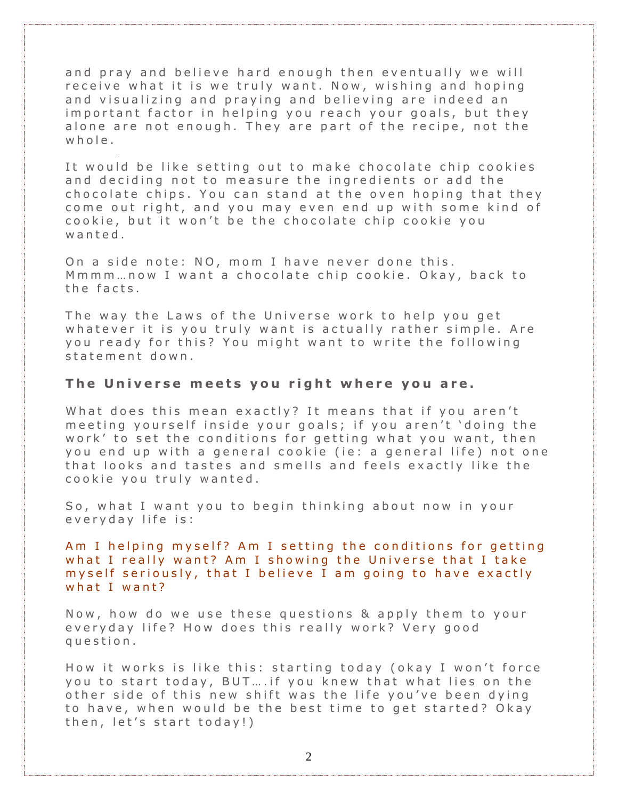and pray and believe hard enough then eventually we will receive what it is we truly want. Now, wishing and hoping and visualizing and praying and believing are indeed an important factor in helping you reach your goals, but they alone are not enough. They are part of the recipe, not the  $w$  h  $o$  l  $e$ .

It would be like setting out to make chocolate chip cookies and deciding not to measure the ingredients or add the chocolate chips. You can stand at the oven hoping that they come out right, and you may even end up with some kind of cookie, but it won't be the chocolate chip cookie you w a n t e d.

On a side note: NO, mom I have never done this. M m m m ... now I want a chocolate chip cookie. O kay, back to the facts.

The way the Laws of the Universe work to help you get whatever it is you truly want is actually rather simple. Are you ready for this? You might want to write the following statement down.

#### **The U n i v e r s e m e e t s y o u r i g h t w h e r e y o u a r e .**

What does this mean exactly? It means that if you aren't meeting yourself inside your goals; if you aren't 'doing the work' to set the conditions for getting what you want, then you end up with a general cookie (ie: a general life) not one that looks and tastes and smells and feels exactly like the cookie you truly wanted.

So, what I want you to begin thinking about now in your every day life is:

Am I helping myself? Am I setting the conditions for getting what I really want? Am I showing the Universe that I take my self seriously, that I believe I am going to have exactly what I want?

Now, how do we use these questions & apply them to your everyday life? How does this really work? Very good q u e s t i o n .

How it works is like this: starting today (okay I won't force you to start today, BUT.... if you knew that what lies on the other side of this new shift was the life you've been dying to have, when would be the best time to get started? Okay then, let's start today!)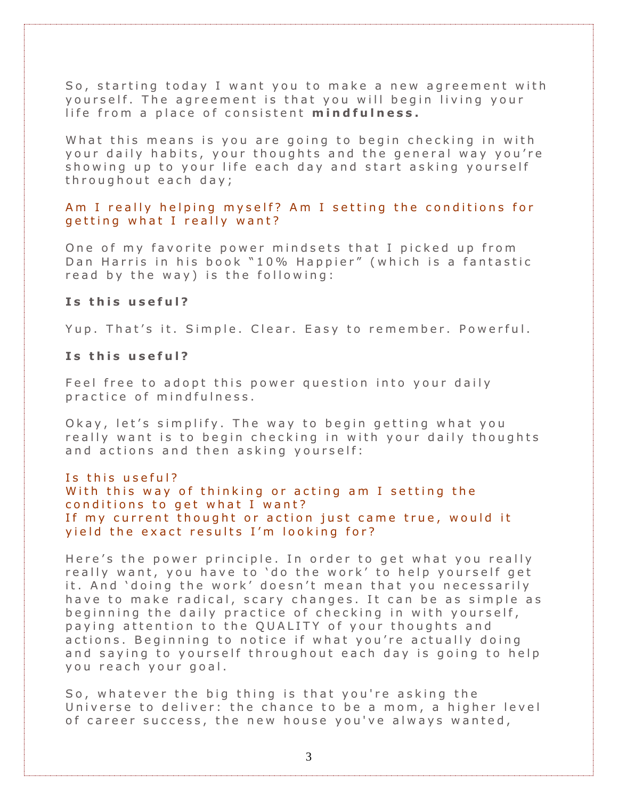So, starting today I want you to make a new agreement with yourself. The agreement is that you will begin living your life from a place of consistent mindfulness.

What this means is you are going to begin checking in with your daily habits, your thoughts and the general way you're showing up to your life each day and start asking yourself throughout each day;

Am I really helping myself? Am I setting the conditions for getting what I really want?

One of my favorite power mindsets that I picked up from Dan Harris in his book "10% Happier" (which is a fantastic read by the way) is the following:

#### Is this useful?

Yup. That's it. Simple. Clear. Easy to remember. Powerful.

### Is this useful?

Feel free to adopt this power question into your daily practice of mindfulness.

O kay, let's simplify. The way to begin getting what you really want is to begin checking in with your daily thoughts and actions and then asking yourself:

#### Is this useful?

With this way of thinking or acting am I setting the conditions to get what I want? If my current thought or action just came true, would it yield the exact results I'm looking for?

Here's the power principle. In order to get what you really really want, you have to 'do the work' to help yourself get it. And 'doing the work' doesn't mean that you necessarily have to make radical, scary changes. It can be as simple as beginning the daily practice of checking in with yourself, paying attention to the QUALITY of your thoughts and actions. Beginning to notice if what you're actually doing and saying to yourself throughout each day is going to help y ou reach your goal.

So, whatever the big thing is that you're asking the Universe to deliver: the chance to be a mom, a higher level of career success, the new house you've always wanted,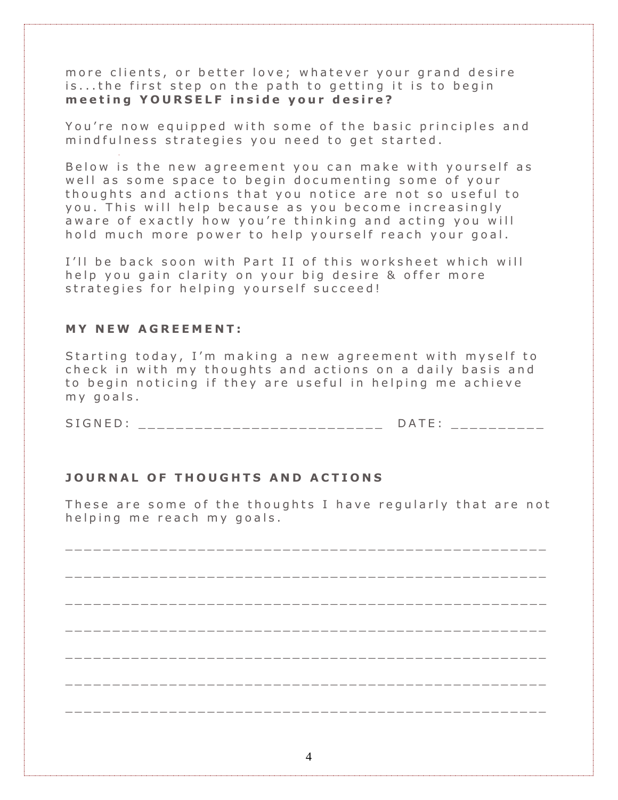more clients, or better love; whatever your grand desire is...the first step on the path to getting it is to begin **m e e t i n g Y O U R S E L F i n s i d e y o u r d e s i r e ?**

You're now equipped with some of the basic principles and mind fulness strategies you need to get started.

Below is the new agreement you can make with yourself as well as some space to begin documenting some of your thoughts and actions that you notice are not so useful to you. This will help because as you become increasingly aware of exactly how you're thinking and acting you will hold much more power to help yourself reach your goal.

I'll be back soon with Part II of this worksheet which will help you gain clarity on your big desire & offer more strategies for helping yourself succeed!

## **M Y N E W A G R E E M E N T :**

Starting today, I'm making a new agreement with myself to check in with my thoughts and actions on a daily basis and to begin noticing if they are useful in helping me achieve  $my$  goals.

SIGNED: \_\_\_\_\_\_\_\_\_\_\_\_\_\_\_\_\_\_\_\_\_\_\_\_\_\_\_ DATE: \_\_\_\_\_\_\_\_\_

# **J O U R N A L O F T H O U G H T S A N D A C T I O N S**

These are some of the thoughts I have regularly that are not helping me reach my goals.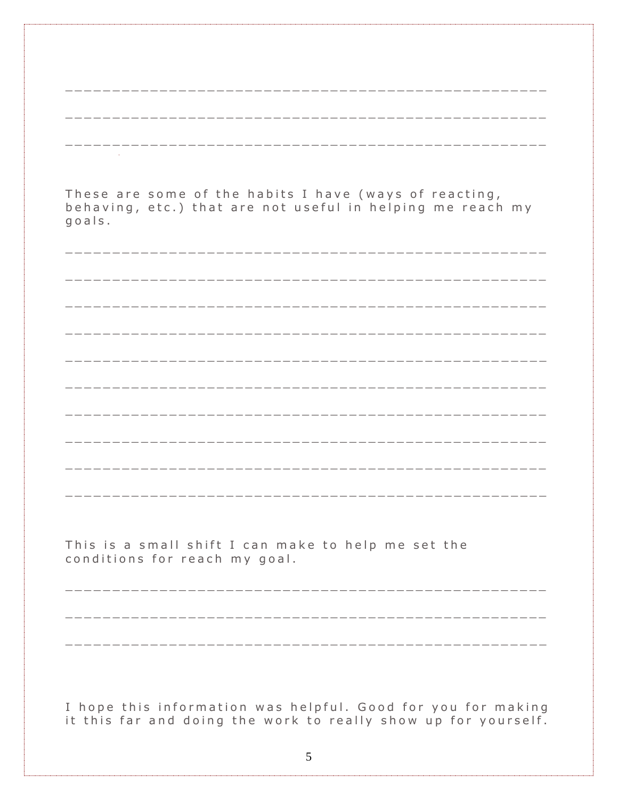| These are some of the habits I have (ways of reacting,<br>behaving, etc.) that are not useful in helping me reach my<br>goals. |
|--------------------------------------------------------------------------------------------------------------------------------|
|                                                                                                                                |
|                                                                                                                                |
|                                                                                                                                |
|                                                                                                                                |
|                                                                                                                                |
|                                                                                                                                |
|                                                                                                                                |
|                                                                                                                                |
| This is a small shift I can make to help me set the<br>conditions for reach my goal.                                           |
|                                                                                                                                |
|                                                                                                                                |
| I hope this information was helpful. Good for you for making<br>it this far and doing the work to really show up for yourself. |
| 5                                                                                                                              |